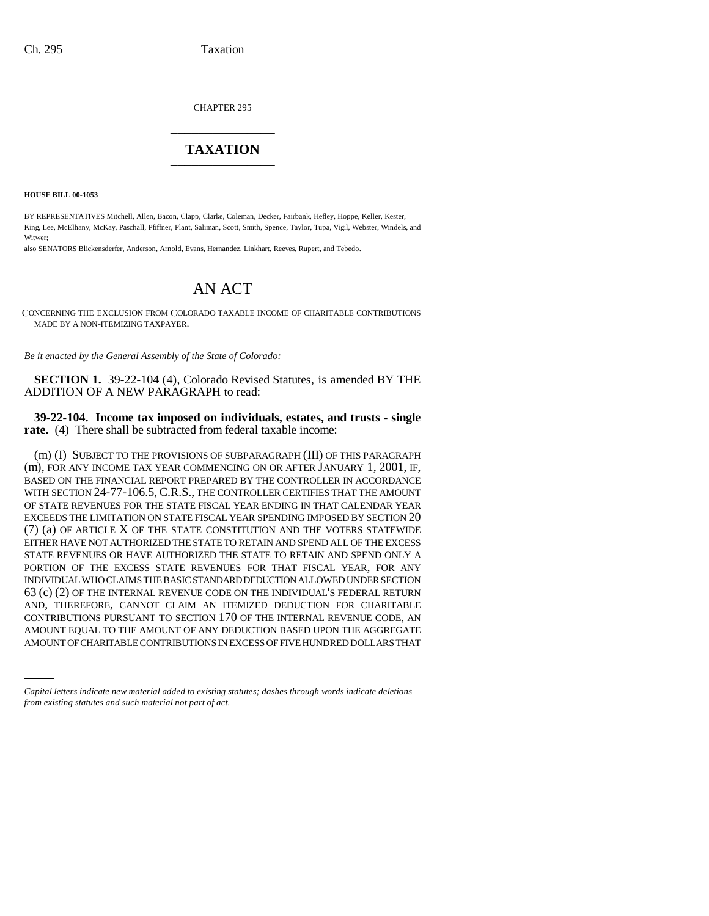CHAPTER 295 \_\_\_\_\_\_\_\_\_\_\_\_\_\_\_

## **TAXATION** \_\_\_\_\_\_\_\_\_\_\_\_\_\_\_

**HOUSE BILL 00-1053** 

BY REPRESENTATIVES Mitchell, Allen, Bacon, Clapp, Clarke, Coleman, Decker, Fairbank, Hefley, Hoppe, Keller, Kester, King, Lee, McElhany, McKay, Paschall, Pfiffner, Plant, Saliman, Scott, Smith, Spence, Taylor, Tupa, Vigil, Webster, Windels, and Witwer;

also SENATORS Blickensderfer, Anderson, Arnold, Evans, Hernandez, Linkhart, Reeves, Rupert, and Tebedo.

## AN ACT

CONCERNING THE EXCLUSION FROM COLORADO TAXABLE INCOME OF CHARITABLE CONTRIBUTIONS MADE BY A NON-ITEMIZING TAXPAYER.

*Be it enacted by the General Assembly of the State of Colorado:*

**SECTION 1.** 39-22-104 (4), Colorado Revised Statutes, is amended BY THE ADDITION OF A NEW PARAGRAPH to read:

**39-22-104. Income tax imposed on individuals, estates, and trusts - single rate.** (4) There shall be subtracted from federal taxable income:

CONTRIBUTIONS PURSUANT TO SECTION 170 OF THE INTERNAL REVENUE CODE, AN (m) (I) SUBJECT TO THE PROVISIONS OF SUBPARAGRAPH (III) OF THIS PARAGRAPH (m), FOR ANY INCOME TAX YEAR COMMENCING ON OR AFTER JANUARY 1, 2001, IF, BASED ON THE FINANCIAL REPORT PREPARED BY THE CONTROLLER IN ACCORDANCE WITH SECTION 24-77-106.5, C.R.S., THE CONTROLLER CERTIFIES THAT THE AMOUNT OF STATE REVENUES FOR THE STATE FISCAL YEAR ENDING IN THAT CALENDAR YEAR EXCEEDS THE LIMITATION ON STATE FISCAL YEAR SPENDING IMPOSED BY SECTION 20 (7) (a) OF ARTICLE X OF THE STATE CONSTITUTION AND THE VOTERS STATEWIDE EITHER HAVE NOT AUTHORIZED THE STATE TO RETAIN AND SPEND ALL OF THE EXCESS STATE REVENUES OR HAVE AUTHORIZED THE STATE TO RETAIN AND SPEND ONLY A PORTION OF THE EXCESS STATE REVENUES FOR THAT FISCAL YEAR, FOR ANY INDIVIDUAL WHO CLAIMS THE BASIC STANDARD DEDUCTION ALLOWED UNDER SECTION 63 (c) (2) OF THE INTERNAL REVENUE CODE ON THE INDIVIDUAL'S FEDERAL RETURN AND, THEREFORE, CANNOT CLAIM AN ITEMIZED DEDUCTION FOR CHARITABLE AMOUNT EQUAL TO THE AMOUNT OF ANY DEDUCTION BASED UPON THE AGGREGATE AMOUNT OF CHARITABLE CONTRIBUTIONS IN EXCESS OF FIVE HUNDRED DOLLARS THAT

*Capital letters indicate new material added to existing statutes; dashes through words indicate deletions from existing statutes and such material not part of act.*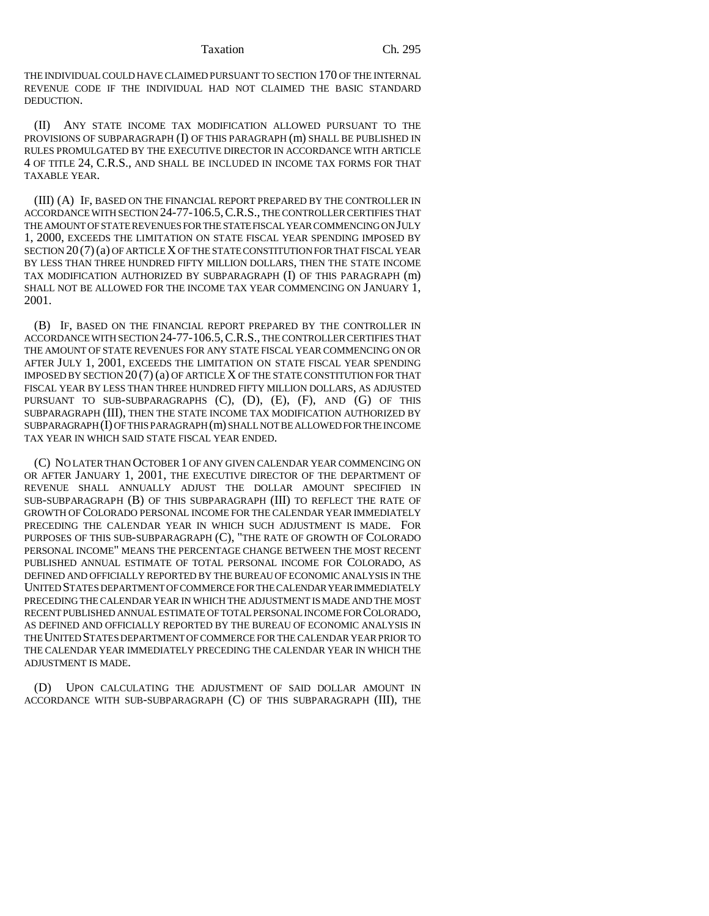THE INDIVIDUAL COULD HAVE CLAIMED PURSUANT TO SECTION 170 OF THE INTERNAL REVENUE CODE IF THE INDIVIDUAL HAD NOT CLAIMED THE BASIC STANDARD DEDUCTION.

(II) ANY STATE INCOME TAX MODIFICATION ALLOWED PURSUANT TO THE PROVISIONS OF SUBPARAGRAPH (I) OF THIS PARAGRAPH (m) SHALL BE PUBLISHED IN RULES PROMULGATED BY THE EXECUTIVE DIRECTOR IN ACCORDANCE WITH ARTICLE 4 OF TITLE 24, C.R.S., AND SHALL BE INCLUDED IN INCOME TAX FORMS FOR THAT TAXABLE YEAR.

(III) (A) IF, BASED ON THE FINANCIAL REPORT PREPARED BY THE CONTROLLER IN ACCORDANCE WITH SECTION 24-77-106.5,C.R.S., THE CONTROLLER CERTIFIES THAT THE AMOUNT OF STATE REVENUES FOR THE STATE FISCAL YEAR COMMENCING ON JULY 1, 2000, EXCEEDS THE LIMITATION ON STATE FISCAL YEAR SPENDING IMPOSED BY SECTION 20 (7)(a) OF ARTICLE X OF THE STATE CONSTITUTION FOR THAT FISCAL YEAR BY LESS THAN THREE HUNDRED FIFTY MILLION DOLLARS, THEN THE STATE INCOME TAX MODIFICATION AUTHORIZED BY SUBPARAGRAPH (I) OF THIS PARAGRAPH (m) SHALL NOT BE ALLOWED FOR THE INCOME TAX YEAR COMMENCING ON JANUARY 1, 2001.

(B) IF, BASED ON THE FINANCIAL REPORT PREPARED BY THE CONTROLLER IN ACCORDANCE WITH SECTION 24-77-106.5,C.R.S., THE CONTROLLER CERTIFIES THAT THE AMOUNT OF STATE REVENUES FOR ANY STATE FISCAL YEAR COMMENCING ON OR AFTER JULY 1, 2001, EXCEEDS THE LIMITATION ON STATE FISCAL YEAR SPENDING IMPOSED BY SECTION 20 (7) (a) OF ARTICLE X OF THE STATE CONSTITUTION FOR THAT FISCAL YEAR BY LESS THAN THREE HUNDRED FIFTY MILLION DOLLARS, AS ADJUSTED PURSUANT TO SUB-SUBPARAGRAPHS (C), (D), (E), (F), AND (G) OF THIS SUBPARAGRAPH (III), THEN THE STATE INCOME TAX MODIFICATION AUTHORIZED BY SUBPARAGRAPH (I) OF THIS PARAGRAPH (m) SHALL NOT BE ALLOWED FOR THE INCOME TAX YEAR IN WHICH SAID STATE FISCAL YEAR ENDED.

(C) NO LATER THAN OCTOBER 1 OF ANY GIVEN CALENDAR YEAR COMMENCING ON OR AFTER JANUARY 1, 2001, THE EXECUTIVE DIRECTOR OF THE DEPARTMENT OF REVENUE SHALL ANNUALLY ADJUST THE DOLLAR AMOUNT SPECIFIED IN SUB-SUBPARAGRAPH (B) OF THIS SUBPARAGRAPH (III) TO REFLECT THE RATE OF GROWTH OF COLORADO PERSONAL INCOME FOR THE CALENDAR YEAR IMMEDIATELY PRECEDING THE CALENDAR YEAR IN WHICH SUCH ADJUSTMENT IS MADE. FOR PURPOSES OF THIS SUB-SUBPARAGRAPH (C), "THE RATE OF GROWTH OF COLORADO PERSONAL INCOME" MEANS THE PERCENTAGE CHANGE BETWEEN THE MOST RECENT PUBLISHED ANNUAL ESTIMATE OF TOTAL PERSONAL INCOME FOR COLORADO, AS DEFINED AND OFFICIALLY REPORTED BY THE BUREAU OF ECONOMIC ANALYSIS IN THE UNITED STATES DEPARTMENT OF COMMERCE FOR THE CALENDAR YEAR IMMEDIATELY PRECEDING THE CALENDAR YEAR IN WHICH THE ADJUSTMENT IS MADE AND THE MOST RECENT PUBLISHED ANNUAL ESTIMATE OF TOTAL PERSONAL INCOME FOR COLORADO, AS DEFINED AND OFFICIALLY REPORTED BY THE BUREAU OF ECONOMIC ANALYSIS IN THE UNITED STATES DEPARTMENT OF COMMERCE FOR THE CALENDAR YEAR PRIOR TO THE CALENDAR YEAR IMMEDIATELY PRECEDING THE CALENDAR YEAR IN WHICH THE ADJUSTMENT IS MADE.

(D) UPON CALCULATING THE ADJUSTMENT OF SAID DOLLAR AMOUNT IN ACCORDANCE WITH SUB-SUBPARAGRAPH (C) OF THIS SUBPARAGRAPH (III), THE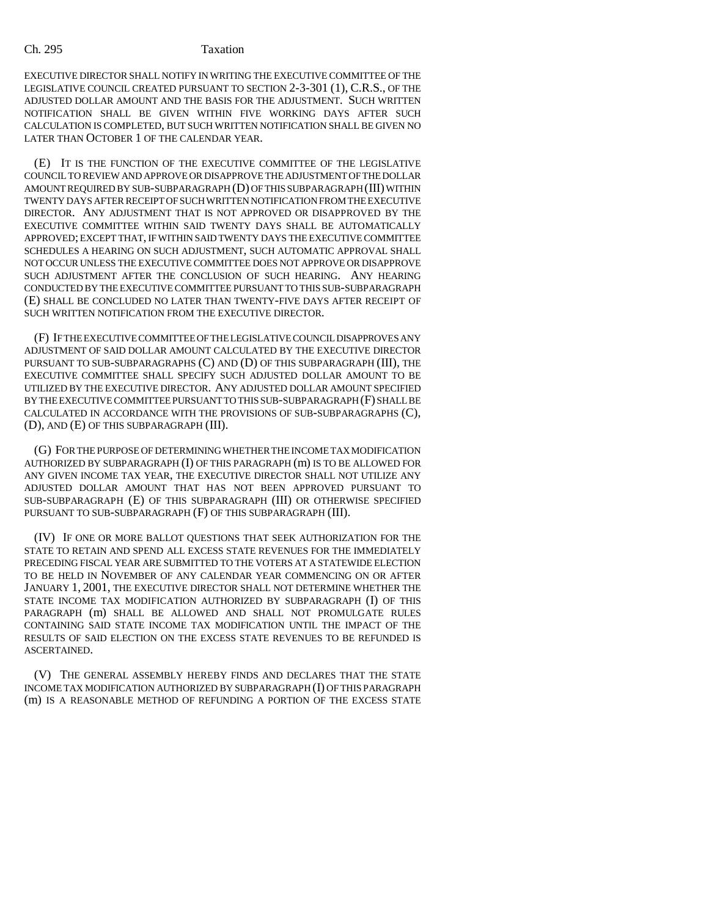EXECUTIVE DIRECTOR SHALL NOTIFY IN WRITING THE EXECUTIVE COMMITTEE OF THE LEGISLATIVE COUNCIL CREATED PURSUANT TO SECTION 2-3-301 (1), C.R.S., OF THE ADJUSTED DOLLAR AMOUNT AND THE BASIS FOR THE ADJUSTMENT. SUCH WRITTEN NOTIFICATION SHALL BE GIVEN WITHIN FIVE WORKING DAYS AFTER SUCH CALCULATION IS COMPLETED, BUT SUCH WRITTEN NOTIFICATION SHALL BE GIVEN NO LATER THAN OCTOBER 1 OF THE CALENDAR YEAR.

(E) IT IS THE FUNCTION OF THE EXECUTIVE COMMITTEE OF THE LEGISLATIVE COUNCIL TO REVIEW AND APPROVE OR DISAPPROVE THE ADJUSTMENT OF THE DOLLAR AMOUNT REQUIRED BY SUB-SUBPARAGRAPH (D) OF THIS SUBPARAGRAPH (III) WITHIN TWENTY DAYS AFTER RECEIPT OF SUCH WRITTEN NOTIFICATION FROM THE EXECUTIVE DIRECTOR. ANY ADJUSTMENT THAT IS NOT APPROVED OR DISAPPROVED BY THE EXECUTIVE COMMITTEE WITHIN SAID TWENTY DAYS SHALL BE AUTOMATICALLY APPROVED; EXCEPT THAT, IF WITHIN SAID TWENTY DAYS THE EXECUTIVE COMMITTEE SCHEDULES A HEARING ON SUCH ADJUSTMENT, SUCH AUTOMATIC APPROVAL SHALL NOT OCCUR UNLESS THE EXECUTIVE COMMITTEE DOES NOT APPROVE OR DISAPPROVE SUCH ADJUSTMENT AFTER THE CONCLUSION OF SUCH HEARING. ANY HEARING CONDUCTED BY THE EXECUTIVE COMMITTEE PURSUANT TO THIS SUB-SUBPARAGRAPH (E) SHALL BE CONCLUDED NO LATER THAN TWENTY-FIVE DAYS AFTER RECEIPT OF SUCH WRITTEN NOTIFICATION FROM THE EXECUTIVE DIRECTOR.

(F) IF THE EXECUTIVE COMMITTEE OF THE LEGISLATIVE COUNCIL DISAPPROVES ANY ADJUSTMENT OF SAID DOLLAR AMOUNT CALCULATED BY THE EXECUTIVE DIRECTOR PURSUANT TO SUB-SUBPARAGRAPHS (C) AND (D) OF THIS SUBPARAGRAPH (III), THE EXECUTIVE COMMITTEE SHALL SPECIFY SUCH ADJUSTED DOLLAR AMOUNT TO BE UTILIZED BY THE EXECUTIVE DIRECTOR. ANY ADJUSTED DOLLAR AMOUNT SPECIFIED BY THE EXECUTIVE COMMITTEE PURSUANT TO THIS SUB-SUBPARAGRAPH (F) SHALL BE CALCULATED IN ACCORDANCE WITH THE PROVISIONS OF SUB-SUBPARAGRAPHS (C), (D), AND (E) OF THIS SUBPARAGRAPH (III).

(G) FOR THE PURPOSE OF DETERMINING WHETHER THE INCOME TAX MODIFICATION AUTHORIZED BY SUBPARAGRAPH (I) OF THIS PARAGRAPH (m) IS TO BE ALLOWED FOR ANY GIVEN INCOME TAX YEAR, THE EXECUTIVE DIRECTOR SHALL NOT UTILIZE ANY ADJUSTED DOLLAR AMOUNT THAT HAS NOT BEEN APPROVED PURSUANT TO SUB-SUBPARAGRAPH (E) OF THIS SUBPARAGRAPH (III) OR OTHERWISE SPECIFIED PURSUANT TO SUB-SUBPARAGRAPH (F) OF THIS SUBPARAGRAPH (III).

(IV) IF ONE OR MORE BALLOT QUESTIONS THAT SEEK AUTHORIZATION FOR THE STATE TO RETAIN AND SPEND ALL EXCESS STATE REVENUES FOR THE IMMEDIATELY PRECEDING FISCAL YEAR ARE SUBMITTED TO THE VOTERS AT A STATEWIDE ELECTION TO BE HELD IN NOVEMBER OF ANY CALENDAR YEAR COMMENCING ON OR AFTER JANUARY 1, 2001, THE EXECUTIVE DIRECTOR SHALL NOT DETERMINE WHETHER THE STATE INCOME TAX MODIFICATION AUTHORIZED BY SUBPARAGRAPH (I) OF THIS PARAGRAPH (m) SHALL BE ALLOWED AND SHALL NOT PROMULGATE RULES CONTAINING SAID STATE INCOME TAX MODIFICATION UNTIL THE IMPACT OF THE RESULTS OF SAID ELECTION ON THE EXCESS STATE REVENUES TO BE REFUNDED IS ASCERTAINED.

(V) THE GENERAL ASSEMBLY HEREBY FINDS AND DECLARES THAT THE STATE INCOME TAX MODIFICATION AUTHORIZED BY SUBPARAGRAPH (I) OF THIS PARAGRAPH (m) IS A REASONABLE METHOD OF REFUNDING A PORTION OF THE EXCESS STATE